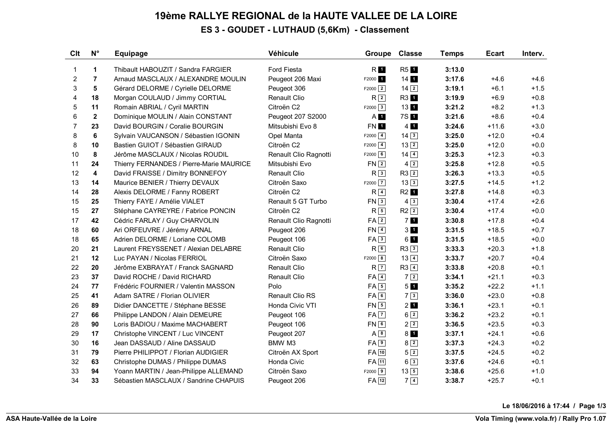### **19ème RALLYE REGIONAL de la HAUTE VALLEE DE LA LOIRE ES 3 - GOUDET - LUTHAUD (5,6Km) - Classement**

| Clt            | $N^{\circ}$             | <b>Equipage</b>                          | Véhicule               | Groupe                  | <b>Classe</b>     | <b>Temps</b> | <b>Ecart</b> | Interv. |
|----------------|-------------------------|------------------------------------------|------------------------|-------------------------|-------------------|--------------|--------------|---------|
| $\mathbf{1}$   | $\mathbf{1}$            | Thibault HABOUZIT / Sandra FARGIER       | <b>Ford Fiesta</b>     | R <b>I</b>              | <b>R51</b>        | 3:13.0       |              |         |
| $\overline{c}$ | $\overline{7}$          | Arnaud MASCLAUX / ALEXANDRE MOULIN       | Peugeot 206 Maxi       | F2000 1                 | $14$ 1            | 3:17.6       | $+4.6$       | $+4.6$  |
| 3              | 5                       | Gérard DELORME / Cyrielle DELORME        | Peugeot 306            | $F2000$ 2               | $14\overline{2}$  | 3:19.1       | $+6.1$       | $+1.5$  |
| 4              | 18                      | Morgan COULAUD / Jimmy CORTIAL           | <b>Renault Clio</b>    | R <sup>2</sup>          | R3 1              | 3:19.9       | $+6.9$       | $+0.8$  |
| 5              | 11                      | Romain ABRIAL / Cyril MARTIN             | Citroën C <sub>2</sub> | $F2000$ 3               | 13 <sup>1</sup>   | 3:21.2       | $+8.2$       | $+1.3$  |
| 6              | $\overline{2}$          | Dominique MOULIN / Alain CONSTANT        | Peugeot 207 S2000      | $A$ $I$                 | 7S 1              | 3:21.6       | $+8.6$       | $+0.4$  |
| $\overline{7}$ | 23                      | David BOURGIN / Coralie BOURGIN          | Mitsubishi Evo 8       | FN 1                    | $4 \overline{1}$  | 3:24.6       | $+11.6$      | $+3.0$  |
| 8              | 6                       | Sylvain VAUCANSON / Sébastien IGONIN     | Opel Manta             | $F2000$ $\boxed{4}$     | $14\overline{3}$  | 3:25.0       | $+12.0$      | $+0.4$  |
| 8              | 10                      | Bastien GUIOT / Sébastien GIRAUD         | Citroën C2             | $F2000$ $4$             | $13\sqrt{2}$      | 3:25.0       | $+12.0$      | $+0.0$  |
| 10             | 8                       | Jérôme MASCLAUX / Nicolas ROUDIL         | Renault Clio Ragnotti  | F2000   6               | $14\overline{)4}$ | 3:25.3       | $+12.3$      | $+0.3$  |
| 11             | 24                      | Thierry FERNANDES / Pierre-Marie MAURICE | Mitsubishi Evo         | $FN$ 2                  | $4\sqrt{2}$       | 3:25.8       | $+12.8$      | $+0.5$  |
| 12             | $\overline{\mathbf{4}}$ | David FRAISSE / Dimitry BONNEFOY         | <b>Renault Clio</b>    | R <sub>3</sub>          | $R3$ <sup>2</sup> | 3:26.3       | $+13.3$      | $+0.5$  |
| 13             | 14                      | Maurice BENIER / Thierry DEVAUX          | Citroën Saxo           | $F2000$ $\boxed{7}$     | $13\boxed{3}$     | 3:27.5       | $+14.5$      | $+1.2$  |
| 14             | 28                      | Alexis DELORME / Fanny ROBERT            | Citroën C2             | R <sub>4</sub>          | R <sub>2</sub> 1  | 3:27.8       | $+14.8$      | $+0.3$  |
| 15             | 25                      | Thierry FAYE / Amélie VIALET             | Renault 5 GT Turbo     | $FN \overline{\cdot 3}$ | $4\sqrt{3}$       | 3:30.4       | $+17.4$      | $+2.6$  |
| 15             | 27                      | Stéphane CAYREYRE / Fabrice PONCIN       | Citroën C <sub>2</sub> | $R\sqrt{5}$             | $R2$ <sup>2</sup> | 3:30.4       | $+17.4$      | $+0.0$  |
| 17             | 42                      | Cédric FARLAY / Guy CHARVOLIN            | Renault Clio Ragnotti  | $FA$ <sup>2</sup>       | 7 <sub>1</sub>    | 3:30.8       | $+17.8$      | $+0.4$  |
| 18             | 60                      | Ari ORFEUVRE / Jérémy ARNAL              | Peugeot 206            | $FN$ $4$                | 3 <sub>1</sub>    | 3:31.5       | $+18.5$      | $+0.7$  |
| 18             | 65                      | Adrien DELORME / Loriane COLOMB          | Peugeot 106            | FA3                     | 61                | 3:31.5       | $+18.5$      | $+0.0$  |
| 20             | 21                      | Laurent FREYSSENET / Alexian DELABRE     | <b>Renault Clio</b>    | R <sub>6</sub>          | R33               | 3:33.3       | $+20.3$      | $+1.8$  |
| 21             | 12                      | Luc PAYAN / Nicolas FERRIOL              | Citroën Saxo           | $F2000$ 8               | $13\sqrt{4}$      | 3:33.7       | $+20.7$      | $+0.4$  |
| 22             | 20                      | Jérôme EXBRAYAT / Franck SAGNARD         | <b>Renault Clio</b>    | $R\vert\overline{7}$    | $R3$ <sup>4</sup> | 3:33.8       | $+20.8$      | $+0.1$  |
| 23             | 37                      | David ROCHE / David RICHARD              | <b>Renault Clio</b>    | $FA$ <sup>4</sup>       | $7\sqrt{2}$       | 3:34.1       | $+21.1$      | $+0.3$  |
| 24             | 77                      | Frédéric FOURNIER / Valentin MASSON      | Polo                   | $FA \boxed{5}$          | 5 <b>1</b>        | 3:35.2       | $+22.2$      | $+1.1$  |
| 25             | 41                      | Adam SATRE / Florian OLIVIER             | Renault Clio RS        | FA6                     | $7\sqrt{3}$       | 3:36.0       | $+23.0$      | $+0.8$  |
| 26             | 89                      | Didier DANCETTE / Stéphane BESSE         | Honda Civic VTI        | $FN$ 5                  | 2 <sub>1</sub>    | 3:36.1       | $+23.1$      | $+0.1$  |
| 27             | 66                      | Philippe LANDON / Alain DEMEURE          | Peugeot 106            | $FA$ $7$                | $6\sqrt{2}$       | 3:36.2       | $+23.2$      | $+0.1$  |
| 28             | 90                      | Loris BADIOU / Maxime MACHABERT          | Peugeot 106            | $FN$ 6                  | $2\sqrt{2}$       | 3:36.5       | $+23.5$      | $+0.3$  |
| 29             | 17                      | Christophe VINCENT / Luc VINCENT         | Peugeot 207            | A8                      | 8 <sub>1</sub>    | 3:37.1       | $+24.1$      | $+0.6$  |
| 30             | 16                      | Jean DASSAUD / Aline DASSAUD             | BMW M3                 | FA <sub>2</sub>         | $8\sqrt{2}$       | 3:37.3       | $+24.3$      | $+0.2$  |
| 31             | 79                      | Pierre PHILIPPOT / Florian AUDIGIER      | Citroën AX Sport       | FA 10                   | 52                | 3:37.5       | $+24.5$      | $+0.2$  |
| 32             | 63                      | Christophe DUMAS / Philippe DUMAS        | Honda Civic            | $FA$ $11$               | $6\overline{3}$   | 3:37.6       | $+24.6$      | $+0.1$  |
| 33             | 94                      | Yoann MARTIN / Jean-Philippe ALLEMAND    | Citroën Saxo           | $F2000$ 9               | $13\boxed{5}$     | 3:38.6       | $+25.6$      | $+1.0$  |
| 34             | 33                      | Sébastien MASCLAUX / Sandrine CHAPUIS    | Peugeot 206            | $FA$ <sup>12</sup>      | 7 4               | 3:38.7       | $+25.7$      | $+0.1$  |

**Le 18/06/2016 à 17:44 / Page 1/3**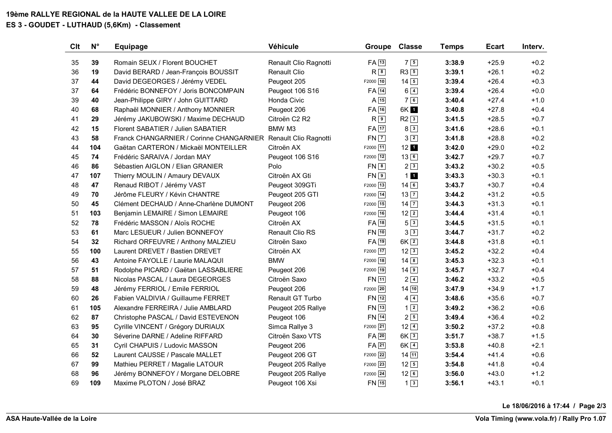# **19ème RALLYE REGIONAL de la HAUTE VALLEE DE LA LOIRE**

### **ES 3 - GOUDET - LUTHAUD (5,6Km) - Classement**

| Clt | $N^{\circ}$ | <b>Equipage</b>                                                | Véhicule               | <b>Groupe</b>      | <b>Classe</b>    | <b>Temps</b> | <b>Ecart</b> | Interv. |
|-----|-------------|----------------------------------------------------------------|------------------------|--------------------|------------------|--------------|--------------|---------|
| 35  | 39          | Romain SEUX / Florent BOUCHET                                  | Renault Clio Ragnotti  | $FA$ <sup>13</sup> | 7 5              | 3:38.9       | $+25.9$      | $+0.2$  |
| 36  | 19          | David BERARD / Jean-François BOUSSIT                           | <b>Renault Clio</b>    | $R^{\overline{8}}$ | $R3$ 5           | 3:39.1       | $+26.1$      | $+0.2$  |
| 37  | 44          | David DEGEORGES / Jérémy VEDEL                                 | Peugeot 205            | F2000 10           | $14\overline{5}$ | 3:39.4       | $+26.4$      | $+0.3$  |
| 37  | 64          | Frédéric BONNEFOY / Joris BONCOMPAIN                           | Peugeot 106 S16        | $FA$ 14            | $6\sqrt{4}$      | 3:39.4       | $+26.4$      | $+0.0$  |
| 39  | 40          | Jean-Philippe GIRY / John GUITTARD                             | Honda Civic            | $A \overline{15}$  | 76               | 3:40.4       | $+27.4$      | $+1.0$  |
| 40  | 68          | Raphaël MONNIER / Anthony MONNIER                              | Peugeot 206            | $FA$ 16            | 6K 1             | 3:40.8       | $+27.8$      | $+0.4$  |
| 41  | 29          | Jérémy JAKUBOWSKI / Maxime DECHAUD                             | Citroën C2 R2          | $R\sqrt{9}$        | $R2\sqrt{3}$     | 3:41.5       | $+28.5$      | $+0.7$  |
| 42  | 15          | Florent SABATIER / Julien SABATIER                             | BMW M3                 | $FA$ 17            | 8 3              | 3:41.6       | $+28.6$      | $+0.1$  |
| 43  | 58          | Franck CHANGARNIER / Corinne CHANGARNIER Renault Clio Ragnotti |                        | $FN$ $7$           | $3\sqrt{2}$      | 3:41.8       | $+28.8$      | $+0.2$  |
| 44  | 104         | Gaëtan CARTERON / Mickaël MONTEILLER                           | Citroën AX             | F2000 11           | $12$ 1           | 3:42.0       | $+29.0$      | $+0.2$  |
| 45  | 74          | Frédéric SARAIVA / Jordan MAY                                  | Peugeot 106 S16        | F2000 12           | $13\sqrt{6}$     | 3:42.7       | $+29.7$      | $+0.7$  |
| 46  | 86          | Sébastien AIGLON / Elian GRANIER                               | Polo                   | $FN$ $8$           | $2\sqrt{3}$      | 3:43.2       | $+30.2$      | $+0.5$  |
| 47  | 107         | Thierry MOULIN / Amaury DEVAUX                                 | Citroën AX Gti         | $FN$ <sup>9</sup>  | 11               | 3:43.3       | $+30.3$      | $+0.1$  |
| 48  | 47          | Renaud RIBOT / Jérémy VAST                                     | Peugeot 309GTi         | F2000 13           | $14\sqrt{6}$     | 3:43.7       | $+30.7$      | $+0.4$  |
| 49  | 70          | Jérôme FLEURY / Kévin CHANTRE                                  | Peugeot 205 GTI        | F2000 14           | $13\overline{7}$ | 3:44.2       | $+31.2$      | $+0.5$  |
| 50  | 45          | Clément DECHAUD / Anne-Charlène DUMONT                         | Peugeot 206            | F2000 15           | $14\overline{7}$ | 3:44.3       | $+31.3$      | $+0.1$  |
| 51  | 103         | Benjamin LEMAIRE / Simon LEMAIRE                               | Peugeot 106            | F2000 16           | $12\sqrt{2}$     | 3:44.4       | $+31.4$      | $+0.1$  |
| 52  | 78          | Frédéric MASSON / Aloïs ROCHE                                  | Citroën AX             | $FA$ 18            | 5 3              | 3:44.5       | $+31.5$      | $+0.1$  |
| 53  | 61          | Marc LESUEUR / Julien BONNEFOY                                 | <b>Renault Clio RS</b> | $FN$ 10            | $3\sqrt{3}$      | 3:44.7       | $+31.7$      | $+0.2$  |
| 54  | 32          | Richard ORFEUVRE / Anthony MALZIEU                             | Citroën Saxo           | $FA$ <sup>19</sup> | $6K\sqrt{2}$     | 3:44.8       | $+31.8$      | $+0.1$  |
| 55  | 100         | Laurent DREVET / Bastien DREVET                                | Citroën AX             | F2000 17           | $12\sqrt{3}$     | 3:45.2       | $+32.2$      | $+0.4$  |
| 56  | 43          | Antoine FAYOLLE / Laurie MALAQUI                               | <b>BMW</b>             | F2000   18         | $14\sqrt{8}$     | 3:45.3       | $+32.3$      | $+0.1$  |
| 57  | 51          | Rodolphe PICARD / Gaëtan LASSABLIERE                           | Peugeot 206            | F2000 19           | $14$ 9           | 3:45.7       | $+32.7$      | $+0.4$  |
| 58  | 88          | Nicolas PASCAL / Laura DEGEORGES                               | Citroën Saxo           | FN [11]            | $2\sqrt{4}$      | 3:46.2       | $+33.2$      | $+0.5$  |
| 59  | 48          | Jérémy FERRIOL / Emile FERRIOL                                 | Peugeot 206            | F2000 20           | 14 10            | 3:47.9       | $+34.9$      | $+1.7$  |
| 60  | 26          | Fabien VALDIVIA / Guillaume FERRET                             | Renault GT Turbo       | $FN$ <sup>12</sup> | $4\sqrt{4}$      | 3:48.6       | $+35.6$      | $+0.7$  |
| 61  | 105         | Alexandre FERREIRA / Julie AMBLARD                             | Peugeot 205 Rallye     | FN 13              | $1\sqrt{2}$      | 3:49.2       | $+36.2$      | $+0.6$  |
| 62  | 87          | Christophe PASCAL / David ESTEVENON                            | Peugeot 106            | <b>FN</b> 14       | $2\sqrt{5}$      | 3:49.4       | $+36.4$      | $+0.2$  |
| 63  | 95          | Cyrille VINCENT / Grégory DURIAUX                              | Simca Rallye 3         | F2000 21           | $12\sqrt{4}$     | 3:50.2       | $+37.2$      | $+0.8$  |
| 64  | 30          | Séverine DARNE / Adeline RIFFARD                               | Citroën Saxo VTS       | $FA$ 20            | $6K\sqrt{3}$     | 3:51.7       | $+38.7$      | $+1.5$  |
| 65  | 31          | Cyril CHAPUIS / Ludovic MASSON                                 | Peugeot 206            | $FA$ <sub>21</sub> | $6K$ $4$         | 3:53.8       | $+40.8$      | $+2.1$  |
| 66  | 52          | Laurent CAUSSE / Pascale MALLET                                | Peugeot 206 GT         | F2000 22           | 14 11            | 3:54.4       | $+41.4$      | $+0.6$  |
| 67  | 99          | Mathieu PERRET / Magalie LATOUR                                | Peugeot 205 Rallye     | F2000 23           | $12\sqrt{5}$     | 3:54.8       | $+41.8$      | $+0.4$  |
| 68  | 96          | Jérémy BONNEFOY / Morgane DELOBRE                              | Peugeot 205 Rallye     | F2000 24           | $12\sqrt{6}$     | 3:56.0       | $+43.0$      | $+1.2$  |
| 69  | 109         | Maxime PLOTON / José BRAZ                                      | Peugeot 106 Xsi        | $FN$ <sup>15</sup> | $1\vert 3 \vert$ | 3:56.1       | $+43.1$      | $+0.1$  |

**Le 18/06/2016 à 17:44 / Page 2/3**